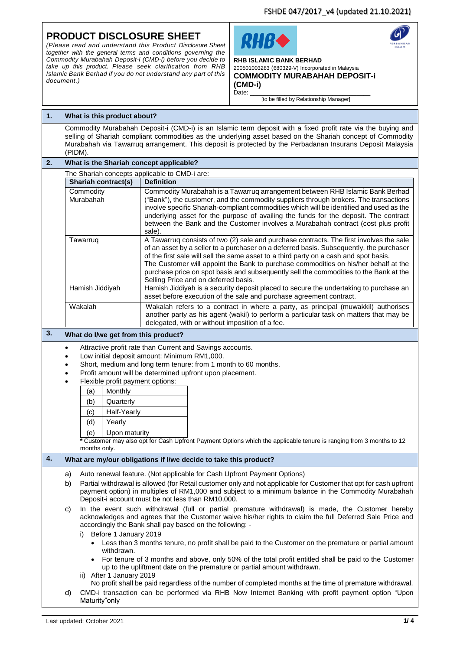#### **PRODUCT DISCLOSURE SHEET** RHRC *(Please read and understand this Product Disclosure Sheet together with the general terms and conditions governing the Commodity Murabahah Deposit-i (CMD-i) before you decide to*  **RHB ISLAMIC BANK BERHAD**  *take up this product. Please seek clarification from RHB*  200501003283 (680329-V) Incorporated in Malaysia *Islamic Bank Berhad if you do not understand any part of this*  **COMMODITY MURABAHAH DEPOSIT-i** *document.)* **(CMD-i)**  Date: [to be filled by Relationship Manager] **1. What is this product about?** Commodity Murabahah Deposit-i (CMD-i) is an Islamic term deposit with a fixed profit rate via the buying and selling of Shariah compliant commodities as the underlying asset based on the Shariah concept of Commodity Murabahah via Tawarruq arrangement. This deposit is protected by the Perbadanan Insurans Deposit Malaysia (PIDM). **2. What is the Shariah concept applicable?** The Shariah concepts applicable to CMD-i are: **Shariah contract(s)** Definition **Commodity** Commodity Murabahah is a Tawarruq arrangement between RHB Islamic Bank Berhad Murabahah ("Bank"), the customer, and the commodity suppliers through brokers. The transactions involve specific Shariah-compliant commodities which will be identified and used as the underlying asset for the purpose of availing the funds for the deposit. The contract between the Bank and the Customer involves a Murabahah contract (cost plus profit sale). Tawarruq **A Tawarruq consists of two (2) sale and purchase contracts. The first involves the sale** of an asset by a seller to a purchaser on a deferred basis. Subsequently, the purchaser of the first sale will sell the same asset to a third party on a cash and spot basis. The Customer will appoint the Bank to purchase commodities on his/her behalf at the purchase price on spot basis and subsequently sell the commodities to the Bank at the Selling Price and on deferred basis. Hamish Jiddiyah Hamish Jiddiyah is a security deposit placed to secure the undertaking to purchase an asset before execution of the sale and purchase agreement contract. Wakalah Wakalah refers to a contract in where a party, as principal (muwakkil) authorises another party as his agent (wakil) to perform a particular task on matters that may be delegated, with or without imposition of a fee. **3. What do I/we get from this product?** Attractive profit rate than Current and Savings accounts. Low initial deposit amount: Minimum RM1,000. Short, medium and long term tenure: from 1 month to 60 months. Profit amount will be determined upfront upon placement. Flexible profit payment options: (a) Monthly (b) Quarterly (c) Half-Yearly (d) Yearly (e) Upon maturity **\*** Customer may also opt for Cash Upfront Payment Options which the applicable tenure is ranging from 3 months to 12 months only. **4. What are my/our obligations if I/we decide to take this product?** a) Auto renewal feature. (Not applicable for Cash Upfront Payment Options) b) Partial withdrawal is allowed (for Retail customer only and not applicable for Customer that opt for cash upfront payment option) in multiples of RM1,000 and subject to a minimum balance in the Commodity Murabahah Deposit-i account must be not less than RM10,000. c) In the event such withdrawal (full or partial premature withdrawal) is made, the Customer hereby acknowledges and agrees that the Customer waive his/her rights to claim the full Deferred Sale Price and accordingly the Bank shall pay based on the following: i) Before 1 January 2019 Less than 3 months tenure, no profit shall be paid to the Customer on the premature or partial amount withdrawn. For tenure of 3 months and above, only 50% of the total profit entitled shall be paid to the Customer up to the upliftment date on the premature or partial amount withdrawn. ii) After 1 January 2019 No profit shall be paid regardless of the number of completed months at the time of premature withdrawal. d) CMD-i transaction can be performed via RHB Now Internet Banking with profit payment option "Upon Maturity"only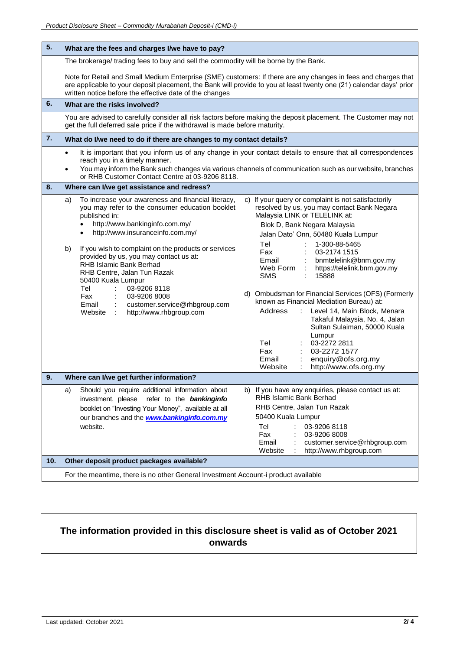| 5.  | What are the fees and charges I/we have to pay?                                                                                                                                                                                                                                                                                                                                                                                                                                                                                                                                      |                                                                                                                                                                                                                                                                                                                                                                                                                                                                                                                                                                                                                                                                                         |  |  |  |  |
|-----|--------------------------------------------------------------------------------------------------------------------------------------------------------------------------------------------------------------------------------------------------------------------------------------------------------------------------------------------------------------------------------------------------------------------------------------------------------------------------------------------------------------------------------------------------------------------------------------|-----------------------------------------------------------------------------------------------------------------------------------------------------------------------------------------------------------------------------------------------------------------------------------------------------------------------------------------------------------------------------------------------------------------------------------------------------------------------------------------------------------------------------------------------------------------------------------------------------------------------------------------------------------------------------------------|--|--|--|--|
|     | The brokerage/ trading fees to buy and sell the commodity will be borne by the Bank.                                                                                                                                                                                                                                                                                                                                                                                                                                                                                                 |                                                                                                                                                                                                                                                                                                                                                                                                                                                                                                                                                                                                                                                                                         |  |  |  |  |
|     | Note for Retail and Small Medium Enterprise (SME) customers: If there are any changes in fees and charges that<br>are applicable to your deposit placement, the Bank will provide to you at least twenty one (21) calendar days' prior<br>written notice before the effective date of the changes                                                                                                                                                                                                                                                                                    |                                                                                                                                                                                                                                                                                                                                                                                                                                                                                                                                                                                                                                                                                         |  |  |  |  |
| 6.  | What are the risks involved?                                                                                                                                                                                                                                                                                                                                                                                                                                                                                                                                                         |                                                                                                                                                                                                                                                                                                                                                                                                                                                                                                                                                                                                                                                                                         |  |  |  |  |
|     | You are advised to carefully consider all risk factors before making the deposit placement. The Customer may not<br>get the full deferred sale price if the withdrawal is made before maturity.                                                                                                                                                                                                                                                                                                                                                                                      |                                                                                                                                                                                                                                                                                                                                                                                                                                                                                                                                                                                                                                                                                         |  |  |  |  |
| 7.  | What do I/we need to do if there are changes to my contact details?                                                                                                                                                                                                                                                                                                                                                                                                                                                                                                                  |                                                                                                                                                                                                                                                                                                                                                                                                                                                                                                                                                                                                                                                                                         |  |  |  |  |
|     | It is important that you inform us of any change in your contact details to ensure that all correspondences<br>$\bullet$<br>reach you in a timely manner.<br>You may inform the Bank such changes via various channels of communication such as our website, branches<br>$\bullet$<br>or RHB Customer Contact Centre at 03-9206 8118.                                                                                                                                                                                                                                                |                                                                                                                                                                                                                                                                                                                                                                                                                                                                                                                                                                                                                                                                                         |  |  |  |  |
| 8.  | Where can I/we get assistance and redress?                                                                                                                                                                                                                                                                                                                                                                                                                                                                                                                                           |                                                                                                                                                                                                                                                                                                                                                                                                                                                                                                                                                                                                                                                                                         |  |  |  |  |
|     | To increase your awareness and financial literacy,<br>a)<br>you may refer to the consumer education booklet<br>published in:<br>http://www.bankinginfo.com.my/<br>$\bullet$<br>http://www.insuranceinfo.com.my/<br>$\bullet$<br>If you wish to complaint on the products or services<br>b)<br>provided by us, you may contact us at:<br>RHB Islamic Bank Berhad<br>RHB Centre, Jalan Tun Razak<br>50400 Kuala Lumpur<br>Tel<br>03-9206 8118<br>Fax<br>03-9206 8008<br>Email<br>$\mathcal{L}_{\mathrm{max}}$<br>customer.service@rhbgroup.com<br>http://www.rhbgroup.com<br>Website : | c) If your query or complaint is not satisfactorily<br>resolved by us, you may contact Bank Negara<br>Malaysia LINK or TELELINK at:<br>Blok D, Bank Negara Malaysia<br>Jalan Dato' Onn, 50480 Kuala Lumpur<br>1-300-88-5465<br>Tel<br>Fax<br>03-2174 1515<br>bnmtelelink@bnm.gov.my<br>Email<br>Web Form<br>https://telelink.bnm.gov.my<br><b>SMS</b><br>15888<br>d) Ombudsman for Financial Services (OFS) (Formerly<br>known as Financial Mediation Bureau) at:<br>$\mathbb{R}^2$<br>Level 14, Main Block, Menara<br>Address<br>Takaful Malaysia, No. 4, Jalan<br>Sultan Sulaiman, 50000 Kuala<br>Lumpur<br>Tel<br>03-2272 2811<br>Fax<br>03-2272 1577<br>Email<br>enquiry@ofs.org.my |  |  |  |  |
| 9.  | http://www.ofs.org.my<br>Website<br>Where can I/we get further information?                                                                                                                                                                                                                                                                                                                                                                                                                                                                                                          |                                                                                                                                                                                                                                                                                                                                                                                                                                                                                                                                                                                                                                                                                         |  |  |  |  |
|     | Should you require additional information about<br>a)                                                                                                                                                                                                                                                                                                                                                                                                                                                                                                                                | b) If you have any enquiries, please contact us at:                                                                                                                                                                                                                                                                                                                                                                                                                                                                                                                                                                                                                                     |  |  |  |  |
|     | investment, please<br>refer to the <b>bankinginfo</b><br>booklet on "Investing Your Money", available at all<br>our branches and the <b>www.bankinginfo.com.my</b><br>website.                                                                                                                                                                                                                                                                                                                                                                                                       | <b>RHB Islamic Bank Berhad</b><br>RHB Centre, Jalan Tun Razak<br>50400 Kuala Lumpur<br>Tel<br>03-9206 8118<br>Fax<br>03-9206 8008<br>Email<br>customer.service@rhbgroup.com<br>Website<br>http://www.rhbgroup.com                                                                                                                                                                                                                                                                                                                                                                                                                                                                       |  |  |  |  |
| 10. | Other deposit product packages available?                                                                                                                                                                                                                                                                                                                                                                                                                                                                                                                                            |                                                                                                                                                                                                                                                                                                                                                                                                                                                                                                                                                                                                                                                                                         |  |  |  |  |
|     | For the meantime, there is no other General Investment Account-i product available                                                                                                                                                                                                                                                                                                                                                                                                                                                                                                   |                                                                                                                                                                                                                                                                                                                                                                                                                                                                                                                                                                                                                                                                                         |  |  |  |  |

# **The information provided in this disclosure sheet is valid as of October 2021 onwards**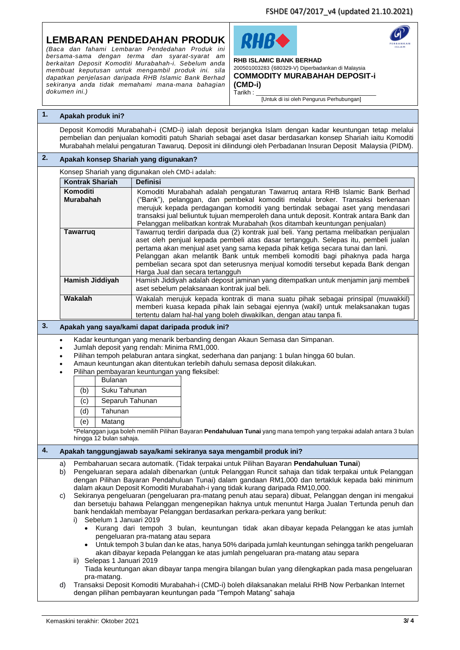FSHDE 047/2017\_v4 (updated 21.10.2021)

## **LEMBARAN PENDEDAHAN PRODUK**

*(Baca dan fahami Lembaran Pendedahan Produk ini bersama-sama dengan terma dan syarat-syarat am berkaitan Deposit Komoditi Murabahah-i. Sebelum anda membuat keputusan untuk mengambil produk ini. sila dapatkan penjelasan daripada RHB Islamic Bank Berhad sekiranya anda tidak memahami mana-mana bahagian dokumen ini.)*





#### **RHB ISLAMIC BANK BERHAD**  200501003283 (680329-V) Diperbadankan di Malaysia **COMMODITY MURABAHAH DEPOSIT-i**

**(CMD-i)**   $T$ arikh :

[Untuk di isi oleh Pengurus Perhubungan]

## **1. Apakah produk ini?**

Deposit Komoditi Murabahah-i (CMD-i) ialah deposit berjangka Islam dengan kadar keuntungan tetap melalui pembelian dan penjualan komoditi patuh Shariah sebagai aset dasar berdasarkan konsep Shariah iaitu Komoditi Murabahah melalui pengaturan Tawaruq. Deposit ini dilindungi oleh Perbadanan Insuran Deposit Malaysia (PIDM).

## **2. Apakah konsep Shariah yang digunakan?**

| Konsep Shariah yang digunakan oleh CMD-i adalah: |                                                                                                                                                                                                                                                                                                                                                                                                                                                                          |  |  |  |
|--------------------------------------------------|--------------------------------------------------------------------------------------------------------------------------------------------------------------------------------------------------------------------------------------------------------------------------------------------------------------------------------------------------------------------------------------------------------------------------------------------------------------------------|--|--|--|
| Kontrak Shariah                                  | <b>Definisi</b>                                                                                                                                                                                                                                                                                                                                                                                                                                                          |  |  |  |
| Komoditi<br><b>Murabahah</b>                     | Komoditi Murabahah adalah pengaturan Tawarruq antara RHB Islamic Bank Berhad<br>("Bank"), pelanggan, dan pembekal komoditi melalui broker. Transaksi berkenaan<br>merujuk kepada perdagangan komoditi yang bertindak sebagai aset yang mendasari<br>transaksi jual beliuntuk tujuan memperoleh dana untuk deposit. Kontrak antara Bank dan<br>Pelanggan melibatkan kontrak Murabahah (kos ditambah keuntungan penjualan)                                                 |  |  |  |
| <b>Tawarrug</b>                                  | Tawarruq terdiri daripada dua (2) kontrak jual beli. Yang pertama melibatkan penjualan<br>aset oleh penjual kepada pembeli atas dasar tertangguh. Selepas itu, pembeli jualan<br>pertama akan menjual aset yang sama kepada pihak ketiga secara tunai dan lani.<br>Pelanggan akan melantik Bank untuk membeli komoditi bagi pihaknya pada harga<br>pembelian secara spot dan seterusnya menjual komoditi tersebut kepada Bank dengan<br>Harga Jual dan secara tertangguh |  |  |  |
| Hamish Jiddiyah                                  | Hamish Jiddiyah adalah deposit jaminan yang ditempatkan untuk menjamin janji membeli<br>aset sebelum pelaksanaan kontrak jual beli.                                                                                                                                                                                                                                                                                                                                      |  |  |  |
| Wakalah                                          | Wakalah merujuk kepada kontrak di mana suatu pihak sebagai prinsipal (muwakkil)<br>memberi kuasa kepada pihak lain sebagai ejennya (wakil) untuk melaksanakan tugas<br>tertentu dalam hal-hal yang boleh diwakilkan, dengan atau tanpa fi.                                                                                                                                                                                                                               |  |  |  |

### **3. Apakah yang saya/kami dapat daripada produk ini?**

Kadar keuntungan yang menarik berbanding dengan Akaun Semasa dan Simpanan.

- Jumlah deposit yang rendah: Minima RM1,000.
- Pilihan tempoh pelaburan antara singkat, sederhana dan panjang: 1 bulan hingga 60 bulan.
- Amaun keuntungan akan ditentukan terlebih dahulu semasa deposit dilakukan.
- Pilihan pembayaran keuntungan yang fleksibel:

|     | <b>Bulanan</b>  |
|-----|-----------------|
| (b) | Suku Tahunan    |
| (c) | Separuh Tahunan |
| (d) | Tahunan         |
| (e) | Matang          |
|     |                 |

\*Pelanggan juga boleh memilih Pilihan Bayaran **Pendahuluan Tunai** yang mana tempoh yang terpakai adalah antara 3 bulan hingga 12 bulan sahaja.

#### **4. Apakah tanggungjawab saya/kami sekiranya saya mengambil produk ini?**

- a) Pembaharuan secara automatik. (Tidak terpakai untuk Pilihan Bayaran **Pendahuluan Tunai**)
- b) Pengeluaran separa adalah dibenarkan (untuk Pelanggan Runcit sahaja dan tidak terpakai untuk Pelanggan dengan Pilihan Bayaran Pendahuluan Tunai) dalam gandaan RM1,000 dan tertakluk kepada baki minimum dalam akaun Deposit Komoditi Murabahah-i yang tidak kurang daripada RM10,000.
- c) Sekiranya pengeluaran (pengeluaran pra-matang penuh atau separa) dibuat, Pelanggan dengan ini mengakui dan bersetuju bahawa Pelanggan mengenepikan haknya untuk menuntut Harga Jualan Tertunda penuh dan bank hendaklah membayar Pelanggan berdasarkan perkara-perkara yang berikut:
	- i) Sebelum 1 Januari 2019
		- Kurang dari tempoh 3 bulan, keuntungan tidak akan dibayar kepada Pelanggan ke atas jumlah pengeluaran pra-matang atau separa
		- Untuk tempoh 3 bulan dan ke atas, hanya 50% daripada jumlah keuntungan sehingga tarikh pengeluaran akan dibayar kepada Pelanggan ke atas jumlah pengeluaran pra-matang atau separa
	- ii) Selepas 1 Januari 2019
		- Tiada keuntungan akan dibayar tanpa mengira bilangan bulan yang dilengkapkan pada masa pengeluaran pra-matang.
- d) Transaksi Deposit Komoditi Murabahah-i (CMD-i) boleh dilaksanakan melalui RHB Now Perbankan Internet dengan pilihan pembayaran keuntungan pada "Tempoh Matang" sahaja